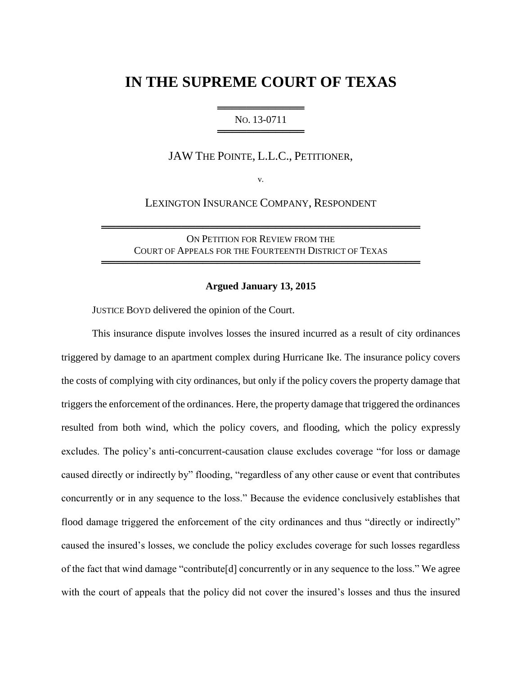# **IN THE SUPREME COURT OF TEXAS**

# ═══════════════════════ NO. 13-0711 ══════════════════════════

JAW THE POINTE, L.L.C., PETITIONER,

v.

LEXINGTON INSURANCE COMPANY, RESPONDENT

ON PETITION FOR REVIEW FROM THE COURT OF APPEALS FOR THE FOURTEENTH DISTRICT OF TEXAS

════════════════════════════════════════════

════════════════════════════════════════════

#### **Argued January 13, 2015**

JUSTICE BOYD delivered the opinion of the Court.

This insurance dispute involves losses the insured incurred as a result of city ordinances triggered by damage to an apartment complex during Hurricane Ike. The insurance policy covers the costs of complying with city ordinances, but only if the policy covers the property damage that triggers the enforcement of the ordinances. Here, the property damage that triggered the ordinances resulted from both wind, which the policy covers, and flooding, which the policy expressly excludes. The policy's anti-concurrent-causation clause excludes coverage "for loss or damage caused directly or indirectly by" flooding, "regardless of any other cause or event that contributes concurrently or in any sequence to the loss." Because the evidence conclusively establishes that flood damage triggered the enforcement of the city ordinances and thus "directly or indirectly" caused the insured's losses, we conclude the policy excludes coverage for such losses regardless of the fact that wind damage "contribute[d] concurrently or in any sequence to the loss." We agree with the court of appeals that the policy did not cover the insured's losses and thus the insured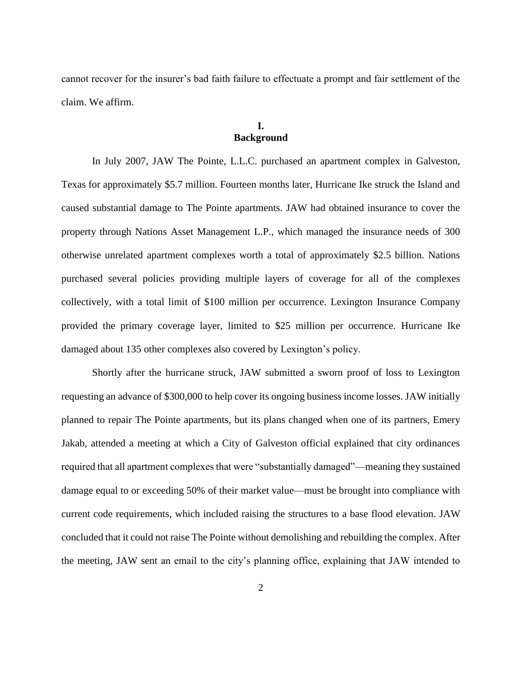cannot recover for the insurer's bad faith failure to effectuate a prompt and fair settlement of the claim. We affirm.

# **I. Background**

In July 2007, JAW The Pointe, L.L.C. purchased an apartment complex in Galveston, Texas for approximately \$5.7 million. Fourteen months later, Hurricane Ike struck the Island and caused substantial damage to The Pointe apartments. JAW had obtained insurance to cover the property through Nations Asset Management L.P., which managed the insurance needs of 300 otherwise unrelated apartment complexes worth a total of approximately \$2.5 billion. Nations purchased several policies providing multiple layers of coverage for all of the complexes collectively, with a total limit of \$100 million per occurrence. Lexington Insurance Company provided the primary coverage layer, limited to \$25 million per occurrence. Hurricane Ike damaged about 135 other complexes also covered by Lexington's policy.

Shortly after the hurricane struck, JAW submitted a sworn proof of loss to Lexington requesting an advance of \$300,000 to help cover its ongoing business income losses. JAW initially planned to repair The Pointe apartments, but its plans changed when one of its partners, Emery Jakab, attended a meeting at which a City of Galveston official explained that city ordinances required that all apartment complexes that were "substantially damaged"—meaning they sustained damage equal to or exceeding 50% of their market value—must be brought into compliance with current code requirements, which included raising the structures to a base flood elevation. JAW concluded that it could not raise The Pointe without demolishing and rebuilding the complex. After the meeting, JAW sent an email to the city's planning office, explaining that JAW intended to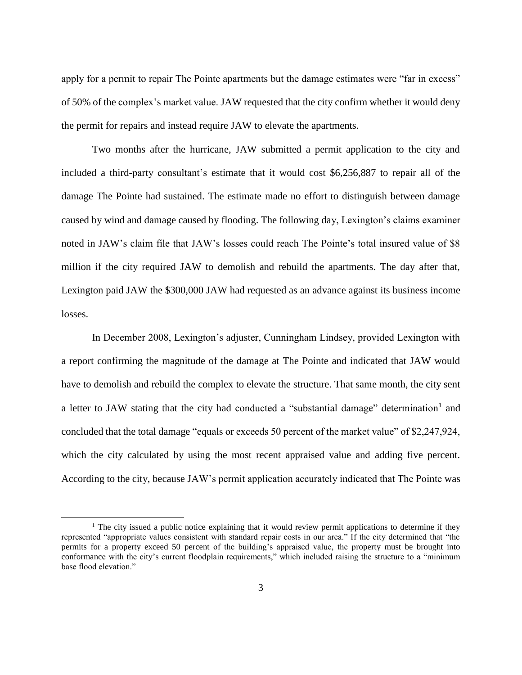apply for a permit to repair The Pointe apartments but the damage estimates were "far in excess" of 50% of the complex's market value. JAW requested that the city confirm whether it would deny the permit for repairs and instead require JAW to elevate the apartments.

Two months after the hurricane, JAW submitted a permit application to the city and included a third-party consultant's estimate that it would cost \$6,256,887 to repair all of the damage The Pointe had sustained. The estimate made no effort to distinguish between damage caused by wind and damage caused by flooding. The following day, Lexington's claims examiner noted in JAW's claim file that JAW's losses could reach The Pointe's total insured value of \$8 million if the city required JAW to demolish and rebuild the apartments. The day after that, Lexington paid JAW the \$300,000 JAW had requested as an advance against its business income losses.

In December 2008, Lexington's adjuster, Cunningham Lindsey, provided Lexington with a report confirming the magnitude of the damage at The Pointe and indicated that JAW would have to demolish and rebuild the complex to elevate the structure. That same month, the city sent a letter to JAW stating that the city had conducted a "substantial damage" determination<sup>1</sup> and concluded that the total damage "equals or exceeds 50 percent of the market value" of \$2,247,924, which the city calculated by using the most recent appraised value and adding five percent. According to the city, because JAW's permit application accurately indicated that The Pointe was

<sup>&</sup>lt;sup>1</sup> The city issued a public notice explaining that it would review permit applications to determine if they represented "appropriate values consistent with standard repair costs in our area." If the city determined that "the permits for a property exceed 50 percent of the building's appraised value, the property must be brought into conformance with the city's current floodplain requirements," which included raising the structure to a "minimum base flood elevation."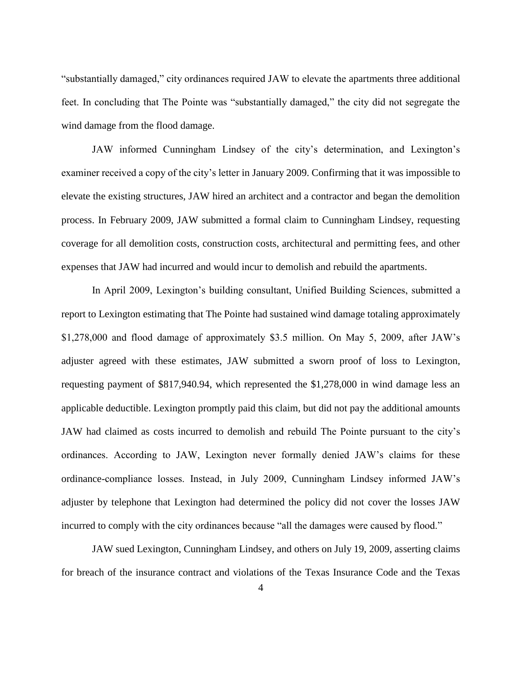"substantially damaged," city ordinances required JAW to elevate the apartments three additional feet. In concluding that The Pointe was "substantially damaged," the city did not segregate the wind damage from the flood damage.

JAW informed Cunningham Lindsey of the city's determination, and Lexington's examiner received a copy of the city's letter in January 2009. Confirming that it was impossible to elevate the existing structures, JAW hired an architect and a contractor and began the demolition process. In February 2009, JAW submitted a formal claim to Cunningham Lindsey, requesting coverage for all demolition costs, construction costs, architectural and permitting fees, and other expenses that JAW had incurred and would incur to demolish and rebuild the apartments.

In April 2009, Lexington's building consultant, Unified Building Sciences, submitted a report to Lexington estimating that The Pointe had sustained wind damage totaling approximately \$1,278,000 and flood damage of approximately \$3.5 million. On May 5, 2009, after JAW's adjuster agreed with these estimates, JAW submitted a sworn proof of loss to Lexington, requesting payment of \$817,940.94, which represented the \$1,278,000 in wind damage less an applicable deductible. Lexington promptly paid this claim, but did not pay the additional amounts JAW had claimed as costs incurred to demolish and rebuild The Pointe pursuant to the city's ordinances. According to JAW, Lexington never formally denied JAW's claims for these ordinance-compliance losses. Instead, in July 2009, Cunningham Lindsey informed JAW's adjuster by telephone that Lexington had determined the policy did not cover the losses JAW incurred to comply with the city ordinances because "all the damages were caused by flood."

JAW sued Lexington, Cunningham Lindsey, and others on July 19, 2009, asserting claims for breach of the insurance contract and violations of the Texas Insurance Code and the Texas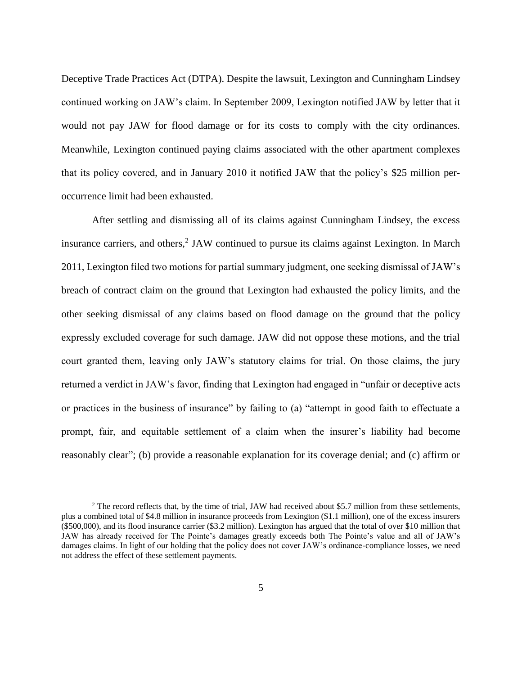Deceptive Trade Practices Act (DTPA). Despite the lawsuit, Lexington and Cunningham Lindsey continued working on JAW's claim. In September 2009, Lexington notified JAW by letter that it would not pay JAW for flood damage or for its costs to comply with the city ordinances. Meanwhile, Lexington continued paying claims associated with the other apartment complexes that its policy covered, and in January 2010 it notified JAW that the policy's \$25 million peroccurrence limit had been exhausted.

After settling and dismissing all of its claims against Cunningham Lindsey, the excess insurance carriers, and others,<sup>2</sup> JAW continued to pursue its claims against Lexington. In March 2011, Lexington filed two motions for partial summary judgment, one seeking dismissal of JAW's breach of contract claim on the ground that Lexington had exhausted the policy limits, and the other seeking dismissal of any claims based on flood damage on the ground that the policy expressly excluded coverage for such damage. JAW did not oppose these motions, and the trial court granted them, leaving only JAW's statutory claims for trial. On those claims, the jury returned a verdict in JAW's favor, finding that Lexington had engaged in "unfair or deceptive acts or practices in the business of insurance" by failing to (a) "attempt in good faith to effectuate a prompt, fair, and equitable settlement of a claim when the insurer's liability had become reasonably clear"; (b) provide a reasonable explanation for its coverage denial; and (c) affirm or

<sup>&</sup>lt;sup>2</sup> The record reflects that, by the time of trial, JAW had received about \$5.7 million from these settlements, plus a combined total of \$4.8 million in insurance proceeds from Lexington (\$1.1 million), one of the excess insurers (\$500,000), and its flood insurance carrier (\$3.2 million). Lexington has argued that the total of over \$10 million that JAW has already received for The Pointe's damages greatly exceeds both The Pointe's value and all of JAW's damages claims. In light of our holding that the policy does not cover JAW's ordinance-compliance losses, we need not address the effect of these settlement payments.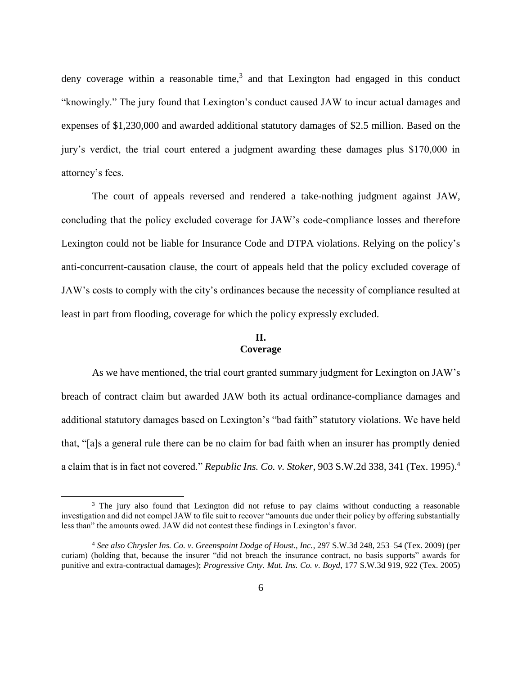deny coverage within a reasonable time,<sup>3</sup> and that Lexington had engaged in this conduct "knowingly." The jury found that Lexington's conduct caused JAW to incur actual damages and expenses of \$1,230,000 and awarded additional statutory damages of \$2.5 million. Based on the jury's verdict, the trial court entered a judgment awarding these damages plus \$170,000 in attorney's fees.

The court of appeals reversed and rendered a take-nothing judgment against JAW, concluding that the policy excluded coverage for JAW's code-compliance losses and therefore Lexington could not be liable for Insurance Code and DTPA violations. Relying on the policy's anti-concurrent-causation clause, the court of appeals held that the policy excluded coverage of JAW's costs to comply with the city's ordinances because the necessity of compliance resulted at least in part from flooding, coverage for which the policy expressly excluded.

# **II. Coverage**

As we have mentioned, the trial court granted summary judgment for Lexington on JAW's breach of contract claim but awarded JAW both its actual ordinance-compliance damages and additional statutory damages based on Lexington's "bad faith" statutory violations. We have held that, "[a]s a general rule there can be no claim for bad faith when an insurer has promptly denied a claim that is in fact not covered." *Republic Ins. Co. v. Stoker*, 903 S.W.2d 338, 341 (Tex. 1995). 4

l

<sup>&</sup>lt;sup>3</sup> The jury also found that Lexington did not refuse to pay claims without conducting a reasonable investigation and did not compel JAW to file suit to recover "amounts due under their policy by offering substantially less than" the amounts owed. JAW did not contest these findings in Lexington's favor.

<sup>4</sup> *See also Chrysler Ins. Co. v. Greenspoint Dodge of Houst., Inc.*, 297 S.W.3d 248, 253–54 (Tex. 2009) (per curiam) (holding that, because the insurer "did not breach the insurance contract, no basis supports" awards for punitive and extra-contractual damages); *Progressive Cnty. Mut. Ins. Co. v. Boyd*, 177 S.W.3d 919, 922 (Tex. 2005)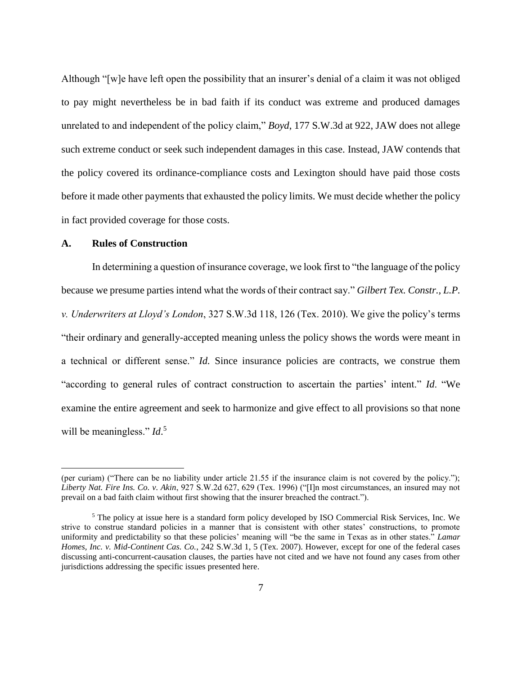Although "[w]e have left open the possibility that an insurer's denial of a claim it was not obliged to pay might nevertheless be in bad faith if its conduct was extreme and produced damages unrelated to and independent of the policy claim," *Boyd*, 177 S.W.3d at 922, JAW does not allege such extreme conduct or seek such independent damages in this case. Instead, JAW contends that the policy covered its ordinance-compliance costs and Lexington should have paid those costs before it made other payments that exhausted the policy limits. We must decide whether the policy in fact provided coverage for those costs.

#### **A. Rules of Construction**

 $\overline{\phantom{a}}$ 

In determining a question of insurance coverage, we look first to "the language of the policy because we presume parties intend what the words of their contract say." *Gilbert Tex. Constr., L.P. v. Underwriters at Lloyd's London*, 327 S.W.3d 118, 126 (Tex. 2010). We give the policy's terms "their ordinary and generally-accepted meaning unless the policy shows the words were meant in a technical or different sense." *Id.* Since insurance policies are contracts, we construe them "according to general rules of contract construction to ascertain the parties' intent." *Id*. "We examine the entire agreement and seek to harmonize and give effect to all provisions so that none will be meaningless." *Id*.<sup>5</sup>

<sup>(</sup>per curiam) ("There can be no liability under article 21.55 if the insurance claim is not covered by the policy."); *Liberty Nat. Fire Ins. Co. v. Akin*, 927 S.W.2d 627, 629 (Tex. 1996) ("[I]n most circumstances, an insured may not prevail on a bad faith claim without first showing that the insurer breached the contract.").

<sup>5</sup> The policy at issue here is a standard form policy developed by ISO Commercial Risk Services, Inc. We strive to construe standard policies in a manner that is consistent with other states' constructions, to promote uniformity and predictability so that these policies' meaning will "be the same in Texas as in other states." *Lamar Homes, Inc. v. Mid-Continent Cas. Co.*, 242 S.W.3d 1, 5 (Tex. 2007). However, except for one of the federal cases discussing anti-concurrent-causation clauses, the parties have not cited and we have not found any cases from other jurisdictions addressing the specific issues presented here.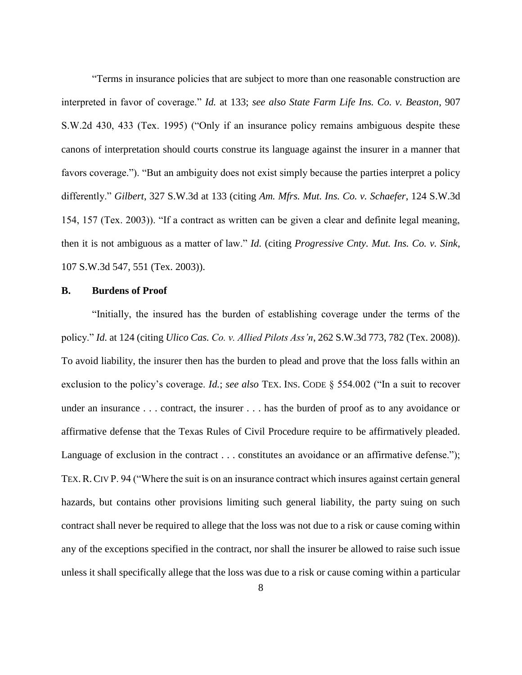"Terms in insurance policies that are subject to more than one reasonable construction are interpreted in favor of coverage." *Id.* at 133; *see also State Farm Life Ins. Co. v. Beaston*, 907 S.W.2d 430, 433 (Tex. 1995) ("Only if an insurance policy remains ambiguous despite these canons of interpretation should courts construe its language against the insurer in a manner that favors coverage."). "But an ambiguity does not exist simply because the parties interpret a policy differently." *Gilbert*, 327 S.W.3d at 133 (citing *Am. Mfrs. Mut. Ins. Co. v. Schaefer*, 124 S.W.3d 154, 157 (Tex. 2003)). "If a contract as written can be given a clear and definite legal meaning, then it is not ambiguous as a matter of law." *Id.* (citing *Progressive Cnty. Mut. Ins. Co. v. Sink*, 107 S.W.3d 547, 551 (Tex. 2003)).

#### **B. Burdens of Proof**

"Initially, the insured has the burden of establishing coverage under the terms of the policy." *Id.* at 124 (citing *Ulico Cas. Co. v. Allied Pilots Ass'n*, 262 S.W.3d 773, 782 (Tex. 2008)). To avoid liability, the insurer then has the burden to plead and prove that the loss falls within an exclusion to the policy's coverage. *Id.*; *see also* TEX. INS. CODE § 554.002 ("In a suit to recover under an insurance . . . contract, the insurer . . . has the burden of proof as to any avoidance or affirmative defense that the Texas Rules of Civil Procedure require to be affirmatively pleaded. Language of exclusion in the contract . . . constitutes an avoidance or an affirmative defense."); TEX.R.CIV P. 94 ("Where the suit is on an insurance contract which insures against certain general hazards, but contains other provisions limiting such general liability, the party suing on such contract shall never be required to allege that the loss was not due to a risk or cause coming within any of the exceptions specified in the contract, nor shall the insurer be allowed to raise such issue unless it shall specifically allege that the loss was due to a risk or cause coming within a particular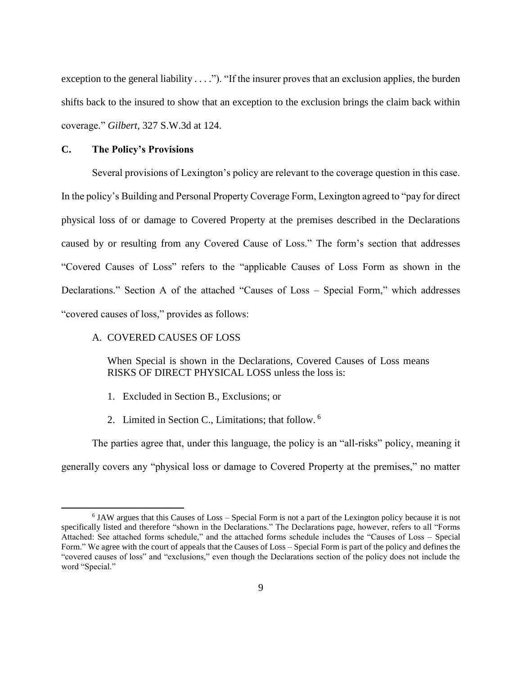exception to the general liability  $\dots$ "). "If the insurer proves that an exclusion applies, the burden shifts back to the insured to show that an exception to the exclusion brings the claim back within coverage." *Gilbert*, 327 S.W.3d at 124.

#### **C. The Policy's Provisions**

 $\overline{a}$ 

Several provisions of Lexington's policy are relevant to the coverage question in this case. In the policy's Building and Personal Property Coverage Form, Lexington agreed to "pay for direct physical loss of or damage to Covered Property at the premises described in the Declarations caused by or resulting from any Covered Cause of Loss." The form's section that addresses "Covered Causes of Loss" refers to the "applicable Causes of Loss Form as shown in the Declarations." Section A of the attached "Causes of Loss – Special Form," which addresses "covered causes of loss," provides as follows:

## A. COVERED CAUSES OF LOSS

When Special is shown in the Declarations, Covered Causes of Loss means RISKS OF DIRECT PHYSICAL LOSS unless the loss is:

- 1. Excluded in Section B., Exclusions; or
- 2. Limited in Section C., Limitations; that follow. <sup>6</sup>

The parties agree that, under this language, the policy is an "all-risks" policy, meaning it generally covers any "physical loss or damage to Covered Property at the premises," no matter

<sup>&</sup>lt;sup>6</sup> JAW argues that this Causes of Loss – Special Form is not a part of the Lexington policy because it is not specifically listed and therefore "shown in the Declarations." The Declarations page, however, refers to all "Forms Attached: See attached forms schedule," and the attached forms schedule includes the "Causes of Loss – Special Form." We agree with the court of appeals that the Causes of Loss – Special Form is part of the policy and defines the "covered causes of loss" and "exclusions," even though the Declarations section of the policy does not include the word "Special."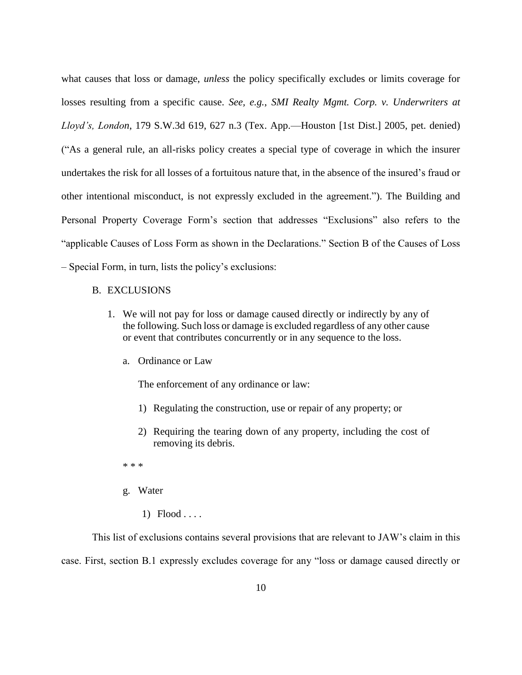what causes that loss or damage, *unless* the policy specifically excludes or limits coverage for losses resulting from a specific cause. *See, e.g.*, *SMI Realty Mgmt. Corp. v. Underwriters at Lloyd's, London*, 179 S.W.3d 619, 627 n.3 (Tex. App.—Houston [1st Dist.] 2005, pet. denied) ("As a general rule, an all-risks policy creates a special type of coverage in which the insurer undertakes the risk for all losses of a fortuitous nature that, in the absence of the insured's fraud or other intentional misconduct, is not expressly excluded in the agreement."). The Building and Personal Property Coverage Form's section that addresses "Exclusions" also refers to the "applicable Causes of Loss Form as shown in the Declarations." Section B of the Causes of Loss – Special Form, in turn, lists the policy's exclusions:

- B. EXCLUSIONS
	- 1. We will not pay for loss or damage caused directly or indirectly by any of the following. Such loss or damage is excluded regardless of any other cause or event that contributes concurrently or in any sequence to the loss.
		- a. Ordinance or Law

The enforcement of any ordinance or law:

- 1) Regulating the construction, use or repair of any property; or
- 2) Requiring the tearing down of any property, including the cost of removing its debris.
- \* \* \*
- g. Water
	- $1)$  Flood . . . .

This list of exclusions contains several provisions that are relevant to JAW's claim in this case. First, section B.1 expressly excludes coverage for any "loss or damage caused directly or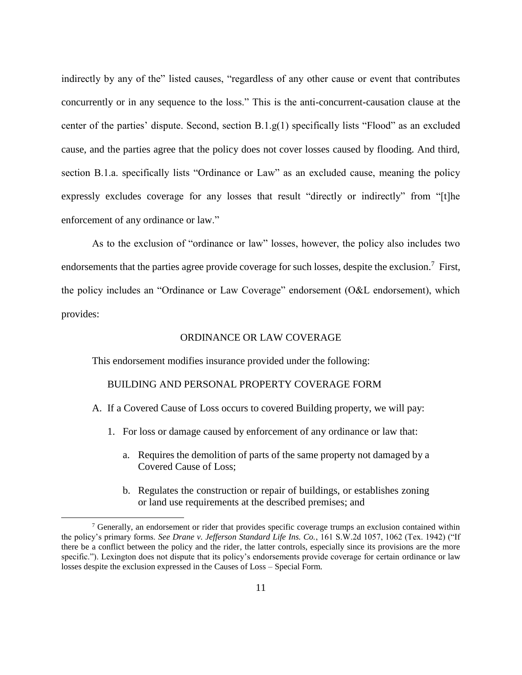indirectly by any of the" listed causes, "regardless of any other cause or event that contributes concurrently or in any sequence to the loss." This is the anti-concurrent-causation clause at the center of the parties' dispute. Second, section B.1.g(1) specifically lists "Flood" as an excluded cause, and the parties agree that the policy does not cover losses caused by flooding. And third, section B.1.a. specifically lists "Ordinance or Law" as an excluded cause, meaning the policy expressly excludes coverage for any losses that result "directly or indirectly" from "[t]he enforcement of any ordinance or law."

As to the exclusion of "ordinance or law" losses, however, the policy also includes two endorsements that the parties agree provide coverage for such losses, despite the exclusion.<sup>7</sup> First, the policy includes an "Ordinance or Law Coverage" endorsement (O&L endorsement), which provides:

# ORDINANCE OR LAW COVERAGE

This endorsement modifies insurance provided under the following:

 $\overline{\phantom{a}}$ 

#### BUILDING AND PERSONAL PROPERTY COVERAGE FORM

A. If a Covered Cause of Loss occurs to covered Building property, we will pay:

- 1. For loss or damage caused by enforcement of any ordinance or law that:
	- a. Requires the demolition of parts of the same property not damaged by a Covered Cause of Loss;
	- b. Regulates the construction or repair of buildings, or establishes zoning or land use requirements at the described premises; and

 $<sup>7</sup>$  Generally, an endorsement or rider that provides specific coverage trumps an exclusion contained within</sup> the policy's primary forms. *See Drane v. Jefferson Standard Life Ins. Co.*, 161 S.W.2d 1057, 1062 (Tex. 1942) ("If there be a conflict between the policy and the rider, the latter controls, especially since its provisions are the more specific."). Lexington does not dispute that its policy's endorsements provide coverage for certain ordinance or law losses despite the exclusion expressed in the Causes of Loss – Special Form.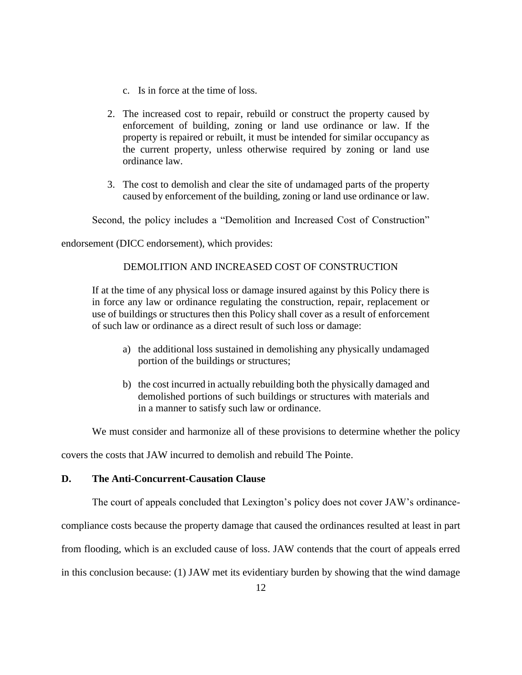- c. Is in force at the time of loss.
- 2. The increased cost to repair, rebuild or construct the property caused by enforcement of building, zoning or land use ordinance or law. If the property is repaired or rebuilt, it must be intended for similar occupancy as the current property, unless otherwise required by zoning or land use ordinance law.
- 3. The cost to demolish and clear the site of undamaged parts of the property caused by enforcement of the building, zoning or land use ordinance or law.

Second, the policy includes a "Demolition and Increased Cost of Construction"

endorsement (DICC endorsement), which provides:

# DEMOLITION AND INCREASED COST OF CONSTRUCTION

If at the time of any physical loss or damage insured against by this Policy there is in force any law or ordinance regulating the construction, repair, replacement or use of buildings or structures then this Policy shall cover as a result of enforcement of such law or ordinance as a direct result of such loss or damage:

- a) the additional loss sustained in demolishing any physically undamaged portion of the buildings or structures;
- b) the cost incurred in actually rebuilding both the physically damaged and demolished portions of such buildings or structures with materials and in a manner to satisfy such law or ordinance.

We must consider and harmonize all of these provisions to determine whether the policy

covers the costs that JAW incurred to demolish and rebuild The Pointe.

## **D. The Anti-Concurrent-Causation Clause**

The court of appeals concluded that Lexington's policy does not cover JAW's ordinance-

compliance costs because the property damage that caused the ordinances resulted at least in part

from flooding, which is an excluded cause of loss. JAW contends that the court of appeals erred

in this conclusion because: (1) JAW met its evidentiary burden by showing that the wind damage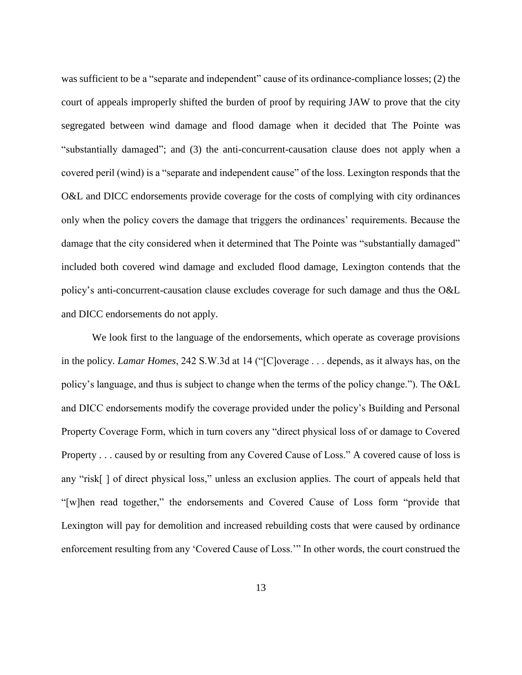was sufficient to be a "separate and independent" cause of its ordinance-compliance losses; (2) the court of appeals improperly shifted the burden of proof by requiring JAW to prove that the city segregated between wind damage and flood damage when it decided that The Pointe was "substantially damaged"; and (3) the anti-concurrent-causation clause does not apply when a covered peril (wind) is a "separate and independent cause" of the loss. Lexington responds that the O&L and DICC endorsements provide coverage for the costs of complying with city ordinances only when the policy covers the damage that triggers the ordinances' requirements. Because the damage that the city considered when it determined that The Pointe was "substantially damaged" included both covered wind damage and excluded flood damage, Lexington contends that the policy's anti-concurrent-causation clause excludes coverage for such damage and thus the O&L and DICC endorsements do not apply.

We look first to the language of the endorsements, which operate as coverage provisions in the policy. *Lamar Homes*, 242 S.W.3d at 14 ("[C]overage . . . depends, as it always has, on the policy's language, and thus is subject to change when the terms of the policy change."). The O&L and DICC endorsements modify the coverage provided under the policy's Building and Personal Property Coverage Form, which in turn covers any "direct physical loss of or damage to Covered Property . . . caused by or resulting from any Covered Cause of Loss." A covered cause of loss is any "risk[ ] of direct physical loss," unless an exclusion applies. The court of appeals held that "[w]hen read together," the endorsements and Covered Cause of Loss form "provide that Lexington will pay for demolition and increased rebuilding costs that were caused by ordinance enforcement resulting from any 'Covered Cause of Loss.'" In other words, the court construed the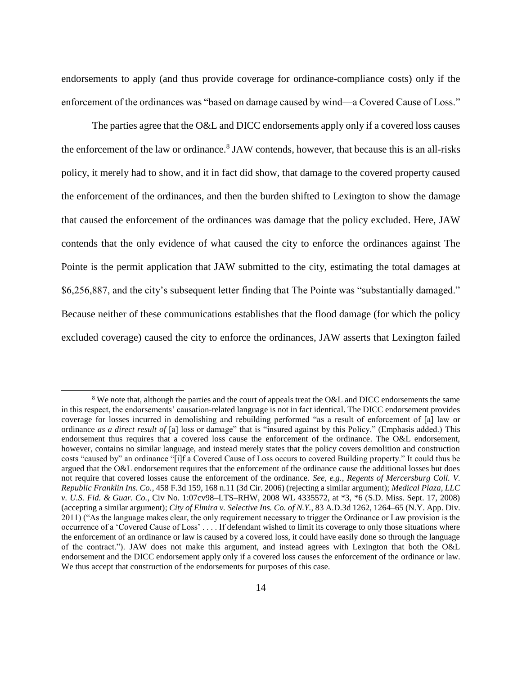endorsements to apply (and thus provide coverage for ordinance-compliance costs) only if the enforcement of the ordinances was "based on damage caused by wind—a Covered Cause of Loss."

The parties agree that the O&L and DICC endorsements apply only if a covered loss causes the enforcement of the law or ordinance.<sup>8</sup> JAW contends, however, that because this is an all-risks policy, it merely had to show, and it in fact did show, that damage to the covered property caused the enforcement of the ordinances, and then the burden shifted to Lexington to show the damage that caused the enforcement of the ordinances was damage that the policy excluded. Here, JAW contends that the only evidence of what caused the city to enforce the ordinances against The Pointe is the permit application that JAW submitted to the city, estimating the total damages at \$6,256,887, and the city's subsequent letter finding that The Pointe was "substantially damaged." Because neither of these communications establishes that the flood damage (for which the policy excluded coverage) caused the city to enforce the ordinances, JAW asserts that Lexington failed

 $\overline{a}$ 

<sup>&</sup>lt;sup>8</sup> We note that, although the parties and the court of appeals treat the O&L and DICC endorsements the same in this respect, the endorsements' causation-related language is not in fact identical. The DICC endorsement provides coverage for losses incurred in demolishing and rebuilding performed "as a result of enforcement of [a] law or ordinance *as a direct result of* [a] loss or damage" that is "insured against by this Policy." (Emphasis added.) This endorsement thus requires that a covered loss cause the enforcement of the ordinance. The O&L endorsement, however, contains no similar language, and instead merely states that the policy covers demolition and construction costs "caused by" an ordinance "[i]f a Covered Cause of Loss occurs to covered Building property." It could thus be argued that the O&L endorsement requires that the enforcement of the ordinance cause the additional losses but does not require that covered losses cause the enforcement of the ordinance. *See, e.g.*, *Regents of Mercersburg Coll. V. Republic Franklin Ins. Co.*, 458 F.3d 159, 168 n.11 (3d Cir. 2006) (rejecting a similar argument); *Medical Plaza, LLC v. U.S. Fid. & Guar. Co.*, Civ No. 1:07cv98–LTS–RHW, 2008 WL 4335572, at \*3, \*6 (S.D. Miss. Sept. 17, 2008) (accepting a similar argument); *City of Elmira v. Selective Ins. Co. of N.Y.*, 83 A.D.3d 1262, 1264–65 (N.Y. App. Div. 2011) ("As the language makes clear, the only requirement necessary to trigger the Ordinance or Law provision is the occurrence of a 'Covered Cause of Loss' . . . . If defendant wished to limit its coverage to only those situations where the enforcement of an ordinance or law is caused by a covered loss, it could have easily done so through the language of the contract."). JAW does not make this argument, and instead agrees with Lexington that both the O&L endorsement and the DICC endorsement apply only if a covered loss causes the enforcement of the ordinance or law. We thus accept that construction of the endorsements for purposes of this case.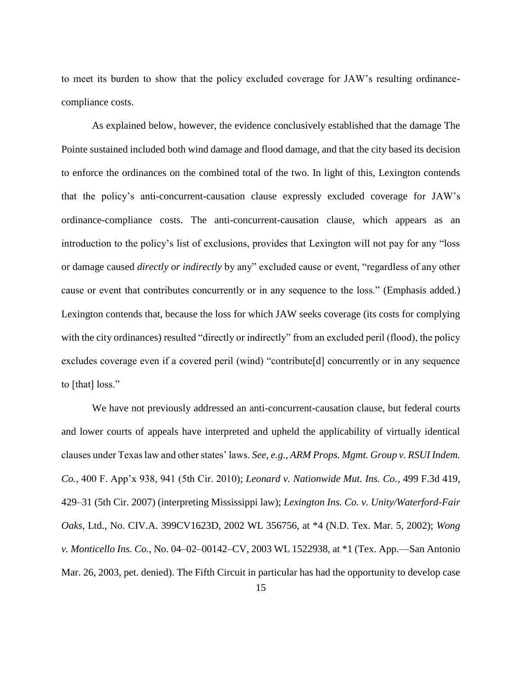to meet its burden to show that the policy excluded coverage for JAW's resulting ordinancecompliance costs.

As explained below, however, the evidence conclusively established that the damage The Pointe sustained included both wind damage and flood damage, and that the city based its decision to enforce the ordinances on the combined total of the two. In light of this, Lexington contends that the policy's anti-concurrent-causation clause expressly excluded coverage for JAW's ordinance-compliance costs. The anti-concurrent-causation clause, which appears as an introduction to the policy's list of exclusions, provides that Lexington will not pay for any "loss or damage caused *directly or indirectly* by any" excluded cause or event, "regardless of any other cause or event that contributes concurrently or in any sequence to the loss." (Emphasis added.) Lexington contends that, because the loss for which JAW seeks coverage (its costs for complying with the city ordinances) resulted "directly or indirectly" from an excluded peril (flood), the policy excludes coverage even if a covered peril (wind) "contribute[d] concurrently or in any sequence to [that] loss."

We have not previously addressed an anti-concurrent-causation clause, but federal courts and lower courts of appeals have interpreted and upheld the applicability of virtually identical clauses under Texas law and other states' laws. *See, e.g.*, *ARM Props. Mgmt. Group v. RSUI Indem. Co.*, 400 F. App'x 938, 941 (5th Cir. 2010); *Leonard v. Nationwide Mut. Ins. Co.*, 499 F.3d 419, 429–31 (5th Cir. 2007) (interpreting Mississippi law); *Lexington Ins. Co. v. Unity/Waterford-Fair Oaks*, Ltd., No. CIV.A. 399CV1623D, 2002 WL 356756, at \*4 (N.D. Tex. Mar. 5, 2002); *Wong v. Monticello Ins. Co.*, No. 04–02–00142–CV, 2003 WL 1522938, at \*1 (Tex. App.—San Antonio Mar. 26, 2003, pet. denied). The Fifth Circuit in particular has had the opportunity to develop case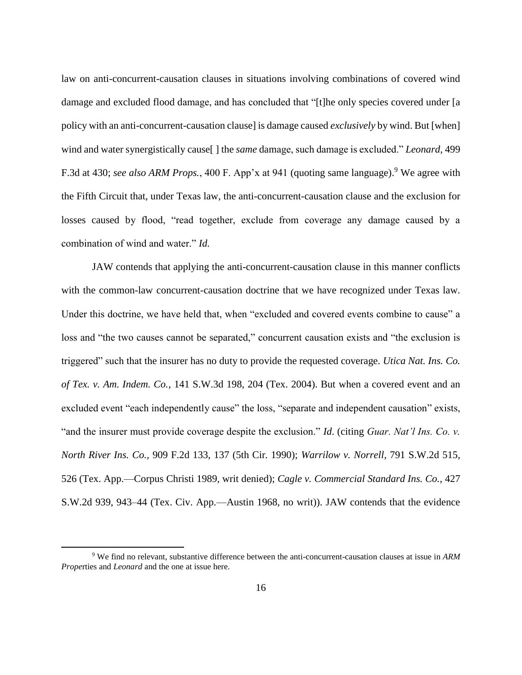law on anti-concurrent-causation clauses in situations involving combinations of covered wind damage and excluded flood damage, and has concluded that "[t]he only species covered under [a policy with an anti-concurrent-causation clause] is damage caused *exclusively* by wind. But [when] wind and water synergistically cause[ ] the *same* damage, such damage is excluded." *Leonard*, 499 F.3d at 430; *see also ARM Props.*, 400 F. App'x at 941 (quoting same language). <sup>9</sup> We agree with the Fifth Circuit that, under Texas law, the anti-concurrent-causation clause and the exclusion for losses caused by flood, "read together, exclude from coverage any damage caused by a combination of wind and water." *Id.*

JAW contends that applying the anti-concurrent-causation clause in this manner conflicts with the common-law concurrent-causation doctrine that we have recognized under Texas law. Under this doctrine, we have held that, when "excluded and covered events combine to cause" a loss and "the two causes cannot be separated," concurrent causation exists and "the exclusion is triggered" such that the insurer has no duty to provide the requested coverage. *Utica Nat. Ins. Co. of Tex. v. Am. Indem. Co.*, 141 S.W.3d 198, 204 (Tex. 2004). But when a covered event and an excluded event "each independently cause" the loss, "separate and independent causation" exists, "and the insurer must provide coverage despite the exclusion." *Id*. (citing *Guar. Nat'l Ins. Co. v. North River Ins. Co.,* 909 F.2d 133, 137 (5th Cir. 1990); *Warrilow v. Norrell*, 791 S.W.2d 515, 526 (Tex. App.—Corpus Christi 1989, writ denied); *Cagle v. Commercial Standard Ins. Co.*, 427 S.W.2d 939, 943–44 (Tex. Civ. App.—Austin 1968, no writ)). JAW contends that the evidence

<sup>9</sup> We find no relevant, substantive difference between the anti-concurrent-causation clauses at issue in *ARM Prope*rties and *Leonard* and the one at issue here.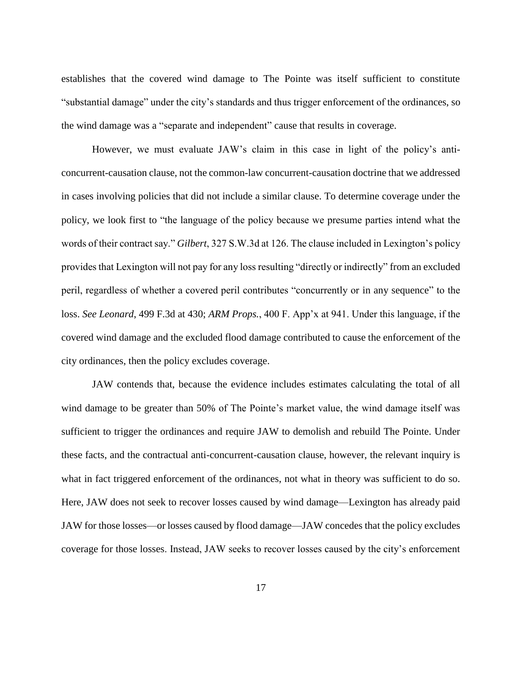establishes that the covered wind damage to The Pointe was itself sufficient to constitute "substantial damage" under the city's standards and thus trigger enforcement of the ordinances, so the wind damage was a "separate and independent" cause that results in coverage.

However, we must evaluate JAW's claim in this case in light of the policy's anticoncurrent-causation clause, not the common-law concurrent-causation doctrine that we addressed in cases involving policies that did not include a similar clause. To determine coverage under the policy, we look first to "the language of the policy because we presume parties intend what the words of their contract say." *Gilbert*, 327 S.W.3d at 126. The clause included in Lexington's policy provides that Lexington will not pay for any loss resulting "directly or indirectly" from an excluded peril, regardless of whether a covered peril contributes "concurrently or in any sequence" to the loss. *See Leonard*, 499 F.3d at 430; *ARM Props.*, 400 F. App'x at 941. Under this language, if the covered wind damage and the excluded flood damage contributed to cause the enforcement of the city ordinances, then the policy excludes coverage.

JAW contends that, because the evidence includes estimates calculating the total of all wind damage to be greater than 50% of The Pointe's market value, the wind damage itself was sufficient to trigger the ordinances and require JAW to demolish and rebuild The Pointe. Under these facts, and the contractual anti-concurrent-causation clause, however, the relevant inquiry is what in fact triggered enforcement of the ordinances, not what in theory was sufficient to do so. Here, JAW does not seek to recover losses caused by wind damage—Lexington has already paid JAW for those losses—or losses caused by flood damage—JAW concedes that the policy excludes coverage for those losses. Instead, JAW seeks to recover losses caused by the city's enforcement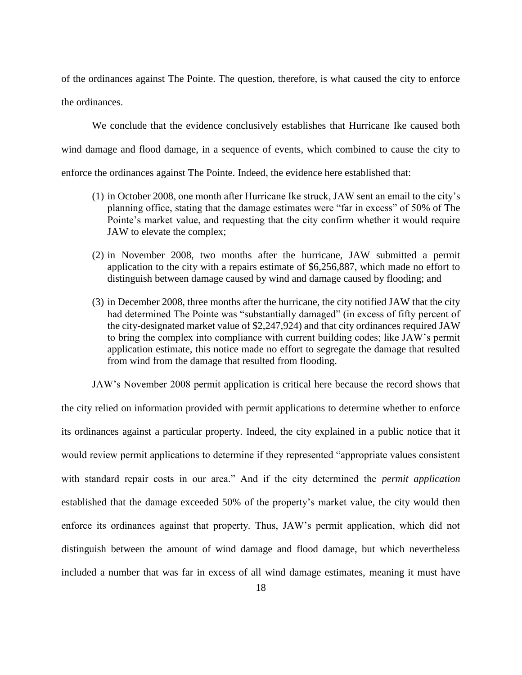of the ordinances against The Pointe. The question, therefore, is what caused the city to enforce the ordinances.

We conclude that the evidence conclusively establishes that Hurricane Ike caused both wind damage and flood damage, in a sequence of events, which combined to cause the city to enforce the ordinances against The Pointe. Indeed, the evidence here established that:

- (1) in October 2008, one month after Hurricane Ike struck, JAW sent an email to the city's planning office, stating that the damage estimates were "far in excess" of 50% of The Pointe's market value, and requesting that the city confirm whether it would require JAW to elevate the complex;
- (2) in November 2008, two months after the hurricane, JAW submitted a permit application to the city with a repairs estimate of \$6,256,887, which made no effort to distinguish between damage caused by wind and damage caused by flooding; and
- (3) in December 2008, three months after the hurricane, the city notified JAW that the city had determined The Pointe was "substantially damaged" (in excess of fifty percent of the city-designated market value of \$2,247,924) and that city ordinances required JAW to bring the complex into compliance with current building codes; like JAW's permit application estimate, this notice made no effort to segregate the damage that resulted from wind from the damage that resulted from flooding.

JAW's November 2008 permit application is critical here because the record shows that the city relied on information provided with permit applications to determine whether to enforce its ordinances against a particular property. Indeed, the city explained in a public notice that it would review permit applications to determine if they represented "appropriate values consistent with standard repair costs in our area." And if the city determined the *permit application* established that the damage exceeded 50% of the property's market value, the city would then enforce its ordinances against that property. Thus, JAW's permit application, which did not distinguish between the amount of wind damage and flood damage, but which nevertheless included a number that was far in excess of all wind damage estimates, meaning it must have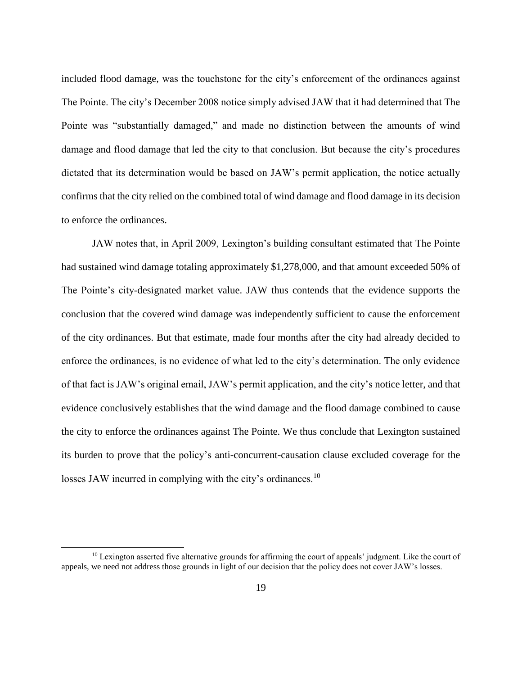included flood damage, was the touchstone for the city's enforcement of the ordinances against The Pointe. The city's December 2008 notice simply advised JAW that it had determined that The Pointe was "substantially damaged," and made no distinction between the amounts of wind damage and flood damage that led the city to that conclusion. But because the city's procedures dictated that its determination would be based on JAW's permit application, the notice actually confirms that the city relied on the combined total of wind damage and flood damage in its decision to enforce the ordinances.

JAW notes that, in April 2009, Lexington's building consultant estimated that The Pointe had sustained wind damage totaling approximately \$1,278,000, and that amount exceeded 50% of The Pointe's city-designated market value. JAW thus contends that the evidence supports the conclusion that the covered wind damage was independently sufficient to cause the enforcement of the city ordinances. But that estimate, made four months after the city had already decided to enforce the ordinances, is no evidence of what led to the city's determination. The only evidence of that fact is JAW's original email, JAW's permit application, and the city's notice letter, and that evidence conclusively establishes that the wind damage and the flood damage combined to cause the city to enforce the ordinances against The Pointe. We thus conclude that Lexington sustained its burden to prove that the policy's anti-concurrent-causation clause excluded coverage for the losses JAW incurred in complying with the city's ordinances.<sup>10</sup>

<sup>&</sup>lt;sup>10</sup> Lexington asserted five alternative grounds for affirming the court of appeals' judgment. Like the court of appeals, we need not address those grounds in light of our decision that the policy does not cover JAW's losses.